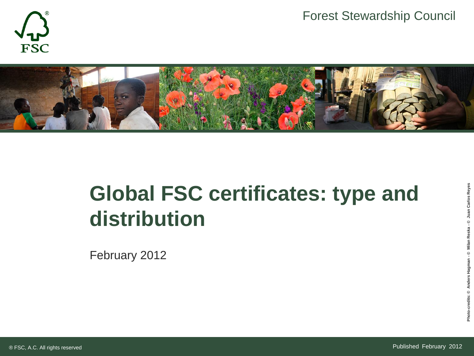



# **Global FSC certificates: type and distribution**

February 2012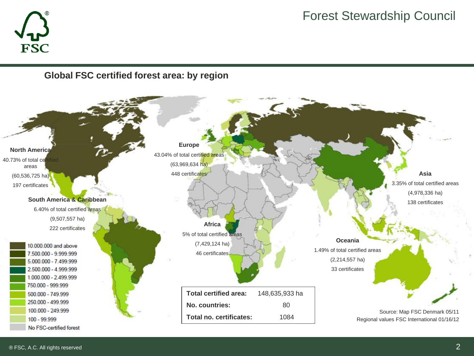



#### **Global FSC certified forest area: by region**

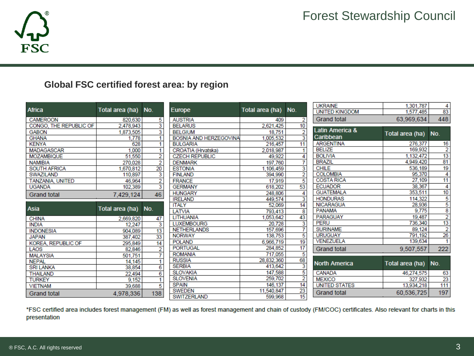

## **Global FSC certified forest area: by region**

|                         |                 |                         |                        |                 |                         | <b>UKRAINE</b>             | 1.301.787       | 4               |
|-------------------------|-----------------|-------------------------|------------------------|-----------------|-------------------------|----------------------------|-----------------|-----------------|
| <b>Africa</b>           | Total area (ha) | No.                     | Europe                 | Total area (ha) | No.                     | <b>UNITED KINGDOM</b>      | 1,577,485       | 83              |
| <b>CAMEROON</b>         | 820,630         | 5                       | <b>AUSTRIA</b>         | 409             | 2                       | <b>Grand total</b>         | 63,969,634      | 448             |
| CONGO, THE REPUBLIC OF  | 2,478,943       | $\overline{\mathbf{3}}$ | <b>BELARUS</b>         | 2,621,425       | 10                      |                            |                 |                 |
| <b>GABON</b>            | 1,873,505       | 3                       | <b>BELGIUM</b>         | 18.751          | $\overline{2}$          | <b>Latin America &amp;</b> | Total area (ha) | No.             |
| <b>GHANA</b>            | 1,778           |                         | BOSNIA AND HERZEGOVINA | 1,005,532       | $\overline{3}$          | Caribbean                  |                 |                 |
| <b>KENYA</b>            | 628             |                         | <b>BULGARIA</b>        | 216.457         | 11                      | <b>ARGENTINA</b>           | 276,377         | 16              |
| <b>MADAGASCAR</b>       | 1,000           | 1                       | CROATIA (Hrvatska)     | 2.018.987       |                         | <b>BELIZE</b>              | 169,932         | 2               |
| <b>MOZAMBIQUE</b>       | 51,550          | 2                       | <b>CZECH REPUBLIC</b>  | 49.922          | 4                       | <b>BOLIVIA</b>             | 1.132.472       | 13              |
| <b>NAMIBIA</b>          | 270.028         | $\overline{2}$          | <b>DENMARK</b>         | 197.760         | 7                       | <b>BRAZIL</b>              | 4,949,420       | 81              |
| <b>SOUTH AFRICA</b>     | 1,670,812       | 20                      | <b>ESTONIA</b>         | 1.106.459       | 3                       | <b>CHILE</b>               | 536.189         | 19              |
| <b>SWAZILAND</b>        | 110,897         | 3                       | <b>FINLAND</b>         | 394,990         | $\overline{2}$          | <b>COLOMBIA</b>            | 95.370          | 4               |
| <b>TANZANIA, UNITED</b> | 46.964          | 2                       | <b>FRANCE</b>          | 17,919          | 5                       | <b>COSTA RICA</b>          | 27.109          | $\overline{11}$ |
| <b>UGANDA</b>           | 102,389         | 3                       | <b>GERMANY</b>         | 618,202         | 53                      | <b>ECUADOR</b>             | 38.367          | 4               |
| <b>Grand total</b>      | 7,429,124       | 46                      | <b>HUNGARY</b>         | 248,806         | 4                       | <b>GUATEMALA</b>           | 353,511         | 10              |
|                         |                 |                         | <b>IRELAND</b>         | 449,574         | 3                       | <b>HONDURAS</b>            | 114.322         | 5               |
| Asia                    |                 |                         | <b>ITALY</b>           | 52,069          | 14                      | <b>NICARAGUA</b>           | 28,936          | 5               |
|                         | Total area (ha) | No.                     | LATVIA                 | 793,413         | 8                       | <b>PANAMA</b>              | 9.775           | 8               |
| <b>CHINA</b>            | 2.669.820       | 47                      | LITHUANIA              | 1.053.642       | 43                      | PARAGUAY                   | 19.487          | $\overline{2}$  |
| <b>INDIA</b>            | 12.247          | 3                       | <b>LUXEMBOURG</b>      | 20.728          | $\overline{\mathbf{3}}$ | <b>PERU</b>                | 736,340         | 13              |
| <b>INDONESIA</b>        | 904.089         | 13                      | <b>NETHERLANDS</b>     | 157.696         | 7                       | <b>SURINAME</b>            | 89.124          | $\overline{2}$  |
| <b>JAPAN</b>            | 387.402         | 33                      | <b>NORWAY</b>          | 138.753         | 5                       | <b>URUGUAY</b>             | 791.192         | 26              |
| KOREA, REPUBLIC OF      | 295,849         | 14                      | <b>POLAND</b>          | 6.966.719       | 19                      | <b>VENEZUELA</b>           | 139.634         | 1               |
| LAOS                    | 82,846          | 2                       | <b>PORTUGAL</b>        | 284,852         | $\overline{17}$         | <b>Grand total</b>         | 9,507,557       | 222             |
| <b>MALAYSIA</b>         | 501,751         | 7                       | <b>ROMANIA</b>         | 717,055         | 5                       |                            |                 |                 |
| <b>NEPAL</b>            | 14.145          |                         | <b>RUSSIA</b>          | 28.832.360      | 68                      | <b>North America</b>       | Total area (ha) | No.             |
| <b>SRI LANKA</b>        | 38,854          | 6                       | <b>SERBIA</b>          | 413,642         | 3                       |                            |                 |                 |
| <b>THAILAND</b>         | 22.494          | 6                       | <b>SLOVAKIA</b>        | 147,588         | 5                       | <b>CANADA</b>              | 46,274,575      | 63              |
| <b>TURKEY</b>           | 9.152           | 1                       | <b>SLOVENIA</b>        | 259,702         | 2                       | <b>MEXICO</b>              | 327,932         | 23              |
| <b>VIETNAM</b>          | 39,688          | 5                       | <b>SPAIN</b>           | 146,137         | 14                      | <b>UNITED STATES</b>       | 13,934,218      | 111             |
| <b>Grand total</b>      | 4,978,336       | 138                     | <b>SWEDEN</b>          | 11.540.847      | 23                      | <b>Grand total</b>         | 60,536,725      | 197             |
|                         |                 |                         | <b>SWITZERLAND</b>     | 599,968         | 15                      |                            |                 |                 |

\*FSC certified area includes forest management (FM) as well as forest management and chain of custody (FM/COC) certificates. Also relevant for charts in this presentation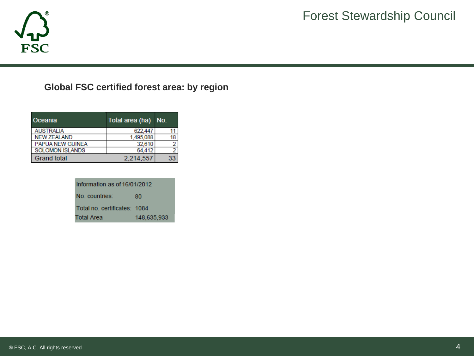

## **Global FSC certified forest area: by region**

| Oceania                 | Total area (ha) No. |    |
|-------------------------|---------------------|----|
| <b>AUSTRALIA</b>        | 622.447             |    |
| <b>NEW ZEALAND</b>      | 1,495,088           | 18 |
| <b>PAPUA NEW GUINEA</b> | 32,610              |    |
| <b>SOLOMON ISLANDS</b>  | 64.412              |    |
| <b>Grand total</b>      | 2,214,557           |    |

| Information as of 16/01/2012 |             |  |  |  |
|------------------------------|-------------|--|--|--|
| No. countries:               | 80          |  |  |  |
| Total no. certificates: 1084 |             |  |  |  |
| <b>Total Area</b>            | 148,635,933 |  |  |  |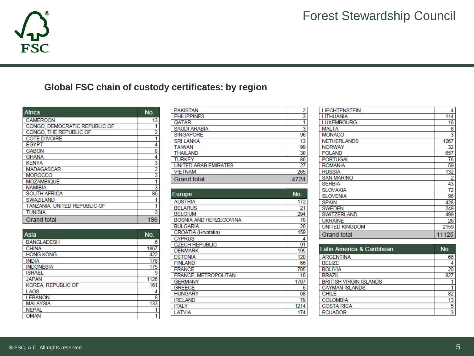

## **Global FSC chain of custody certificates: by region**

| <b>Africa</b>                 | No.                                       |
|-------------------------------|-------------------------------------------|
| <b>CAMEROON</b>               | 13                                        |
| CONGO, DEMOCRATIC REPUBLIC OF |                                           |
| CONGO, THE REPUBLIC OF        | $\overline{2}$                            |
| <b>COTE D'IVOIRE</b>          | 1                                         |
| <b>EGYPT</b>                  | 4                                         |
| <b>GABON</b>                  |                                           |
| <b>GHANA</b>                  |                                           |
| <b>KENYA</b>                  | $\frac{8}{4}$ $\frac{4}{2}$ $\frac{3}{2}$ |
| <b>MADAGASCAR</b>             |                                           |
| <b>MOROCCO</b>                |                                           |
| <b>MOZAMBIQUE</b>             | 1                                         |
| <b>NAMIBIA</b>                | 3                                         |
| <b>SOUTH AFRICA</b>           | 86                                        |
| <b>SWAZILAND</b>              |                                           |
| TANZANIA, UNITED REPUBLIC OF  | 1                                         |
| <b>TUNISIA</b>                | 3                                         |
| Grand total                   | 136                                       |

| <b>Asia</b>        | No.  |
|--------------------|------|
| <b>BANGLADESH</b>  | 6    |
| <b>CHINA</b>       | 1867 |
| <b>HONG KONG</b>   | 422  |
| <b>INDIA</b>       | 178  |
| <b>INDONESIA</b>   | 175  |
| <b>ISRAEL</b>      | 9    |
| <b>JAPAN</b>       | 1126 |
| KOREA, REPUBLIC OF | 161  |
| LAOS               | 4    |
| <b>LEBANON</b>     | 8    |
| <b>MALAYSIA</b>    | 133  |
| <b>NEPAL</b>       |      |
| <b>OMAN</b>        |      |

| <b>PAKISTAN</b>             | 2   |
|-----------------------------|-----|
| <b>PHILIPPINES</b>          | 3   |
| QATAR                       |     |
| <b>SAUDI ARABIA</b>         | 3   |
| <b>SINGAPORE</b>            | 96  |
| <b>SRI LANKA</b>            | 13  |
| TAIWAN                      | 99  |
| THAILAND                    | 38  |
| TURKEY                      | 86  |
| <b>UNITED ARAB EMIRATES</b> | 27  |
| <b>VIETNAM</b>              | 265 |
| <b>Grand total</b>          |     |

| <b>Europe</b>               | No.  |
|-----------------------------|------|
| <b>AUSTRIA</b>              | 172  |
| <b>BELARUS</b>              | 21   |
| <b>BELGIUM</b>              | 294  |
| BOSNIA AND HERZEGOVINA      | 78   |
| <b>BULGARIA</b>             | 20   |
| CROATIA (Hrvatska)          | 159  |
| <b>CYPRUS</b>               | 4    |
| <b>CZECH REPUBLIC</b>       | 91   |
| <b>DENMARK</b>              | 195  |
| <b>ESTONIA</b>              | 120  |
| <b>FINLAND</b>              | 66   |
| <b>FRANCE</b>               | 705  |
| <b>FRANCE, METROPOLITAN</b> | 10   |
| <b>GERMANY</b>              | 1707 |
| <b>GREECE</b>               | 6    |
| <b>HUNGARY</b>              | 68   |
| <b>IRELAND</b>              | 79   |
| ITALY                       | 1214 |
| LATVIA                      | 174  |

| LIECHTENSTEIN         | 4              |
|-----------------------|----------------|
| LITHUANIA             | 114            |
| <b>LUXEMBOURG</b>     | 16             |
| <b>MALTA</b>          | 8              |
| <b>MONACO</b>         | 3              |
| <b>NETHERLANDS</b>    | 1267           |
| <b>NORWAY</b>         | 32             |
| <b>POLAND</b>         | 657            |
| <b>PORTUGAL</b>       | 76             |
| <b>ROMANIA</b>        | 59             |
| <b>RUSSIA</b>         | 132            |
| <b>SAN MARINO</b>     | $\overline{2}$ |
| <b>SERBIA</b>         | 43             |
| <b>SLOVAKIA</b>       | 72             |
| <b>SLOVENIA</b>       | 96             |
| <b>SPAIN</b>          | 428            |
| <b>SWEDEN</b>         | 249            |
| <b>SWITZERLAND</b>    | 499            |
| <b>UKRAINE</b>        | 26             |
| <b>UNITED KINGDOM</b> | 2159           |
| Grand total           | 11125          |

| Latin America & Caribbean     | No. |
|-------------------------------|-----|
| <b>ARGENTINA</b>              | 66  |
| <b>BELIZE</b>                 | 4   |
| <b>BOLIVIA</b>                | 20  |
| <b>BRAZIL</b>                 | 827 |
| <b>BRITISH VIRGIN ISLANDS</b> |     |
| <b>CAYMAN ISLANDS</b>         |     |
| CHILE                         | 82  |
| <b>COLOMBIA</b>               | 13  |
| <b>COSTA RICA</b>             | 5   |
| <b>ECUADOR</b>                | 3   |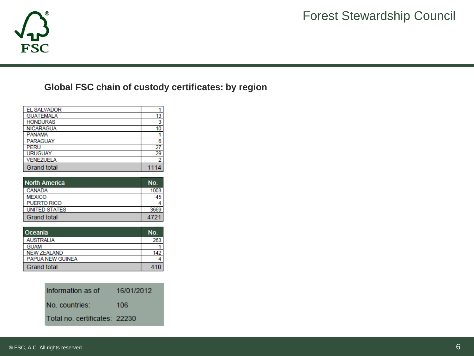

## **Global FSC chain of custody certificates: by region**

| <b>EL SALVADOR</b> |      |
|--------------------|------|
| <b>GUATEMALA</b>   | 13   |
| <b>HONDURAS</b>    | 3    |
| <b>NICARAGUA</b>   | 10   |
| <b>PANAMA</b>      |      |
| <b>PARAGUAY</b>    | 6    |
| <b>PERU</b>        | 27   |
| <b>URUGUAY</b>     | 29   |
| <b>VENEZUELA</b>   | 2    |
| <b>Grand total</b> | 1114 |

| <b>North America</b> | No.  |
|----------------------|------|
| CANADA               | 1003 |
| <b>MEXICO</b>        | 45   |
| <b>PUERTO RICO</b>   |      |
| <b>UNITED STATES</b> | 3669 |
| <b>Grand total</b>   | 4721 |

| Oceania                 | NO. |
|-------------------------|-----|
| <b>AUSTRALIA</b>        | 263 |
| <b>GUAM</b>             |     |
| <b>NEW ZEALAND</b>      | 142 |
| <b>PAPUA NEW GUINEA</b> |     |
| <b>Grand total</b>      | 410 |

| Information as of             | 16/01/2012 |
|-------------------------------|------------|
| No. countries:                | 106        |
| Total no. certificates: 22230 |            |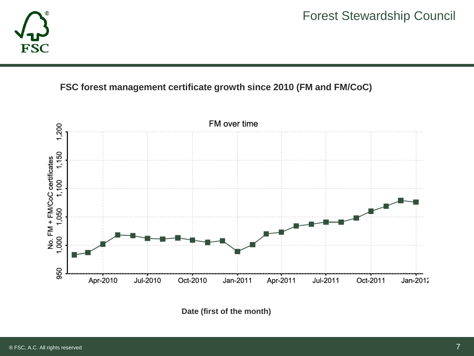

## **FSC forest management certificate growth since 2010 (FM and FM/CoC)**



**Date (first of the month)**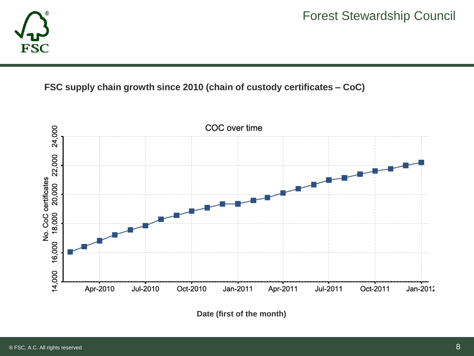

## **FSC supply chain growth since 2010 (chain of custody certificates – CoC)**



**Date (first of the month)**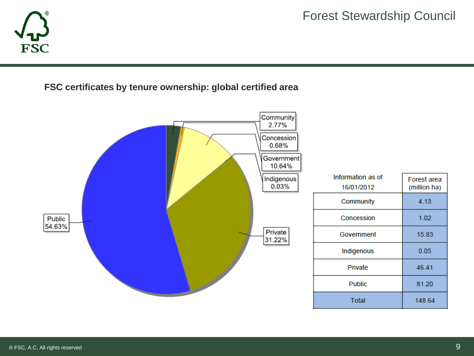

**FSC certificates by tenure ownership: global certified area**

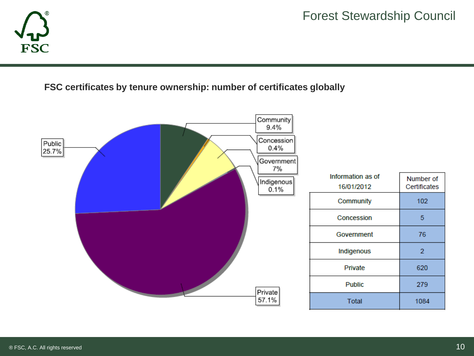

**FSC certificates by tenure ownership: number of certificates globally**

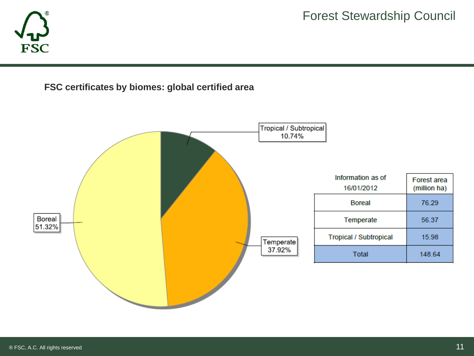

**FSC certificates by biomes: global certified area**

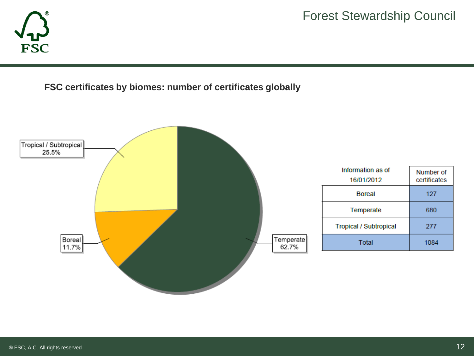

**FSC certificates by biomes: number of certificates globally**

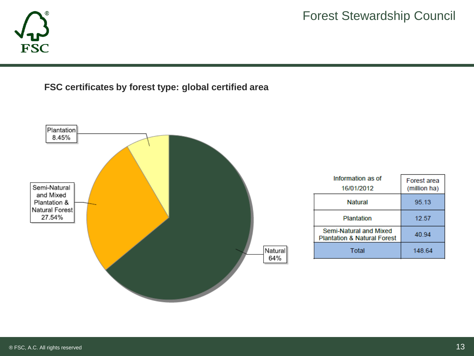

**FSC certificates by forest type: global certified area**

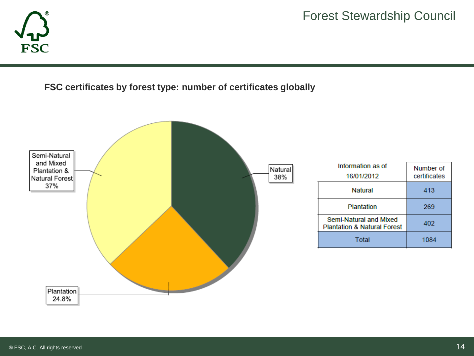

### **FSC certificates by forest type: number of certificates globally**

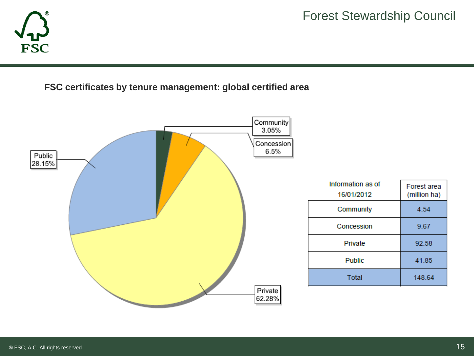

**FSC certificates by tenure management: global certified area**

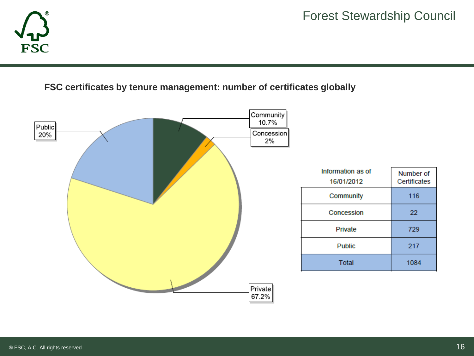

### **FSC certificates by tenure management: number of certificates globally**

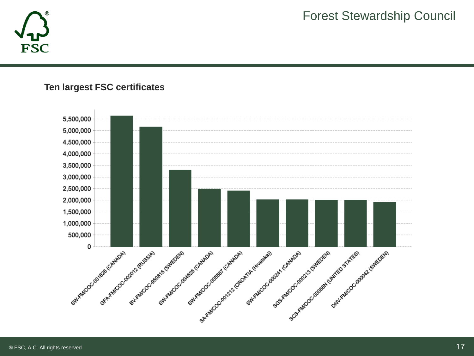

### **Ten largest FSC certificates**